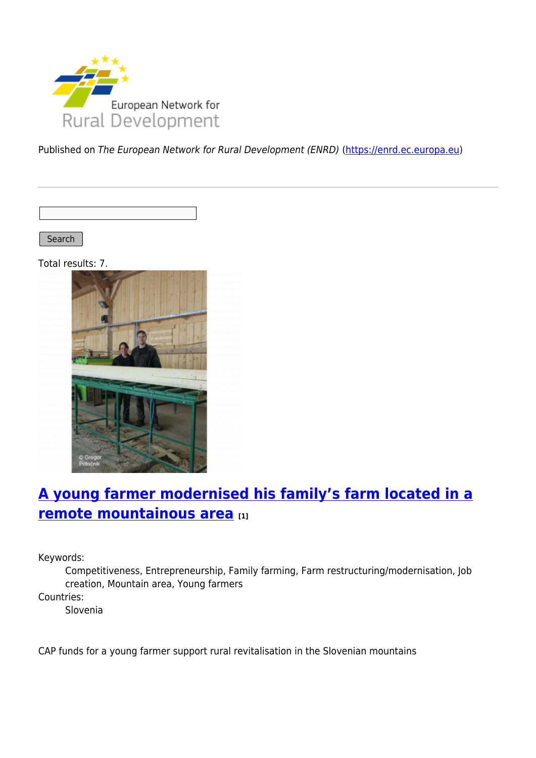

Published on The European Network for Rural Development (ENRD) [\(https://enrd.ec.europa.eu](https://enrd.ec.europa.eu))

Search

Total results: 7.



## **[A young farmer modernised his family's farm located in a](https://enrd.ec.europa.eu/projects-practice/young-farmer-modernised-his-familys-farm-located-remote-mountainous-area_en) [remote mountainous area](https://enrd.ec.europa.eu/projects-practice/young-farmer-modernised-his-familys-farm-located-remote-mountainous-area_en) [1]**

Keywords:

Competitiveness, Entrepreneurship, Family farming, Farm restructuring/modernisation, Job creation, Mountain area, Young farmers

Countries:

Slovenia

CAP funds for a young farmer support rural revitalisation in the Slovenian mountains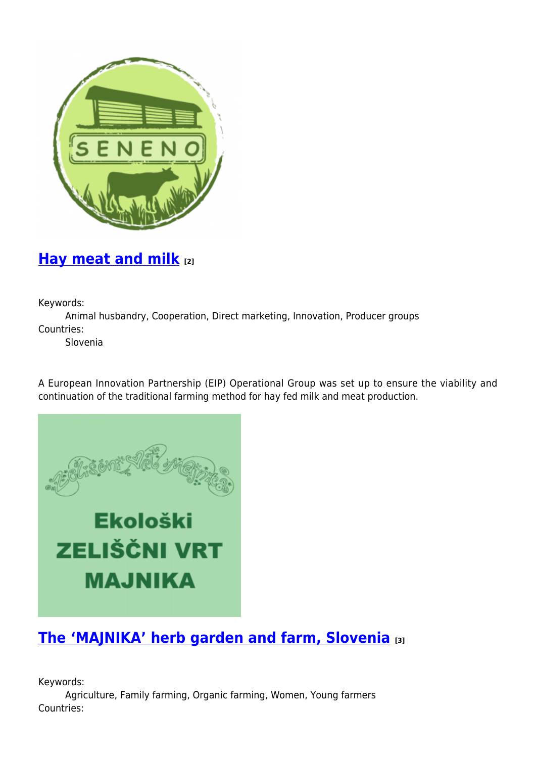

#### **[Hay meat and milk](https://enrd.ec.europa.eu/projects-practice/hay-meat-and-milk_en) [2]**

Keywords:

Animal husbandry, Cooperation, Direct marketing, Innovation, Producer groups Countries:

Slovenia

A European Innovation Partnership (EIP) Operational Group was set up to ensure the viability and continuation of the traditional farming method for hay fed milk and meat production.



# **[The 'MAJNIKA' herb garden and farm, Slovenia](https://enrd.ec.europa.eu/projects-practice/majnika-herb-garden-and-farm-slovenia_en) [3]**

Keywords:

Agriculture, Family farming, Organic farming, Women, Young farmers Countries: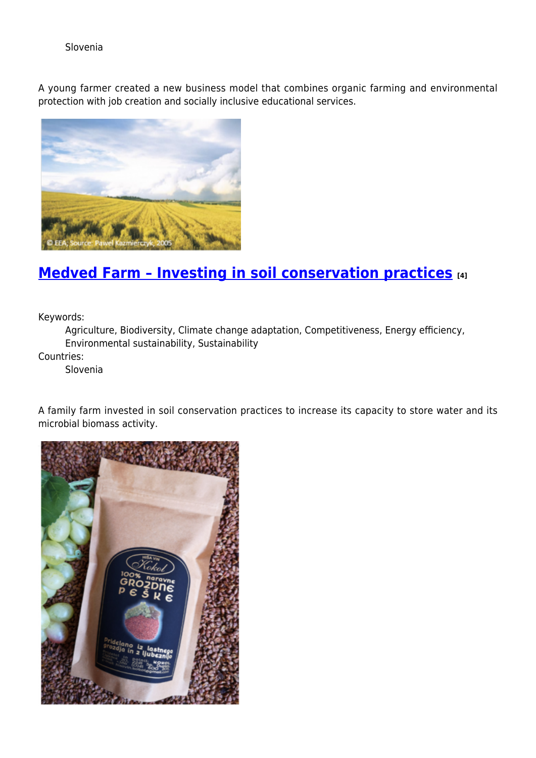Slovenia

A young farmer created a new business model that combines organic farming and environmental protection with job creation and socially inclusive educational services.



### **[Medved Farm – Investing in soil conservation practices](https://enrd.ec.europa.eu/projects-practice/medved-farm-investing-soil-conservation-practices_en) [4]**

Keywords:

Agriculture, Biodiversity, Climate change adaptation, Competitiveness, Energy efficiency, Environmental sustainability, Sustainability

Countries:

Slovenia

A family farm invested in soil conservation practices to increase its capacity to store water and its microbial biomass activity.

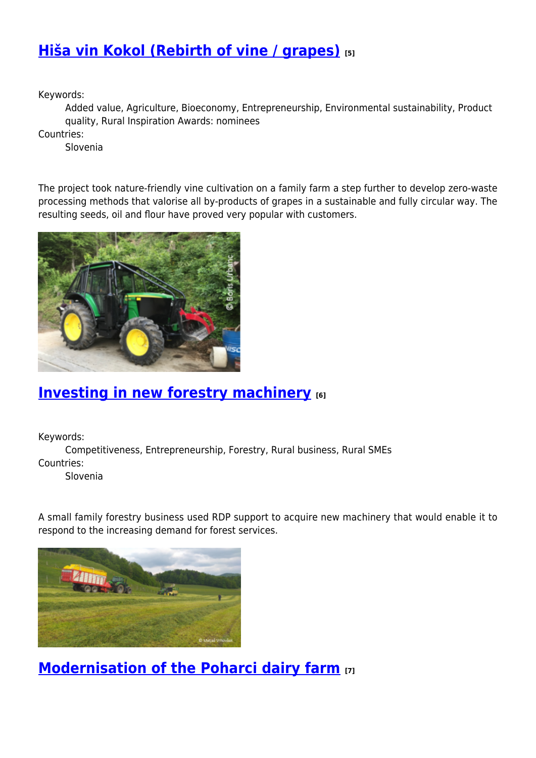### **[Hiša vin Kokol \(Rebirth of vine / grapes\)](https://enrd.ec.europa.eu/projects-practice/hisa-vin-kokol-rebirth-vine-grapes_en) [5]**

Keywords:

Added value, Agriculture, Bioeconomy, Entrepreneurship, Environmental sustainability, Product quality, Rural Inspiration Awards: nominees

Countries:

Slovenia

The project took nature-friendly vine cultivation on a family farm a step further to develop zero-waste processing methods that valorise all by-products of grapes in a sustainable and fully circular way. The resulting seeds, oil and flour have proved very popular with customers.



### **[Investing in new forestry machinery](https://enrd.ec.europa.eu/projects-practice/investing-new-forestry-machinery_en) [6]**

Keywords:

Competitiveness, Entrepreneurship, Forestry, Rural business, Rural SMEs Countries:

Slovenia

A small family forestry business used RDP support to acquire new machinery that would enable it to respond to the increasing demand for forest services.



**[Modernisation of the Poharci dairy farm](https://enrd.ec.europa.eu/projects-practice/modernisation-poharci-dairy-farm_en) [7]**